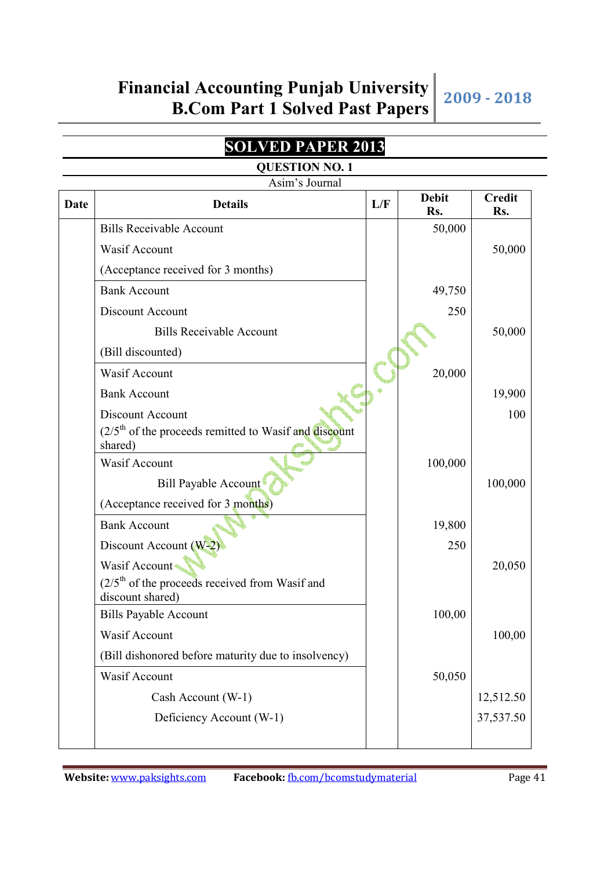## **SOLVED PAPER 2013**

|             | <b>QUESTION NO. 1</b>                                                |     |                     |                      |  |
|-------------|----------------------------------------------------------------------|-----|---------------------|----------------------|--|
|             | Asim's Journal                                                       |     |                     |                      |  |
| <b>Date</b> | <b>Details</b>                                                       | L/F | <b>Debit</b><br>Rs. | <b>Credit</b><br>Rs. |  |
|             | <b>Bills Receivable Account</b>                                      |     | 50,000              |                      |  |
|             | Wasif Account                                                        |     |                     | 50,000               |  |
|             | (Acceptance received for 3 months)                                   |     |                     |                      |  |
|             | <b>Bank Account</b>                                                  |     | 49,750              |                      |  |
|             | Discount Account                                                     |     | 250                 |                      |  |
|             | <b>Bills Receivable Account</b>                                      |     |                     | 50,000               |  |
|             | (Bill discounted)                                                    |     |                     |                      |  |
|             | Wasif Account                                                        |     | 20,000              |                      |  |
|             | <b>Bank Account</b>                                                  |     |                     | 19,900               |  |
|             | Discount Account                                                     |     |                     | 100                  |  |
|             | $(2/5th$ of the proceeds remitted to Wasif and discount<br>shared)   |     |                     |                      |  |
|             | Wasif Account                                                        |     | 100,000             |                      |  |
|             | Bill Payable Account                                                 |     |                     | 100,000              |  |
|             | (Acceptance received for 3 months)                                   |     |                     |                      |  |
|             | <b>Bank Account</b>                                                  |     | 19,800              |                      |  |
|             | Discount Account (W-2)                                               |     | 250                 |                      |  |
|             | Wasif Account                                                        |     |                     | 20,050               |  |
|             | $(2/5th$ of the proceeds received from Wasif and<br>discount shared) |     |                     |                      |  |
|             | <b>Bills Payable Account</b>                                         |     | 100,00              |                      |  |
|             | Wasif Account                                                        |     |                     | 100,00               |  |
|             | (Bill dishonored before maturity due to insolvency)                  |     |                     |                      |  |

Wasif Account 50,050

Cash Account (W-1)  $\vert$  12,512.50

Deficiency Account (W-1) 37,537.50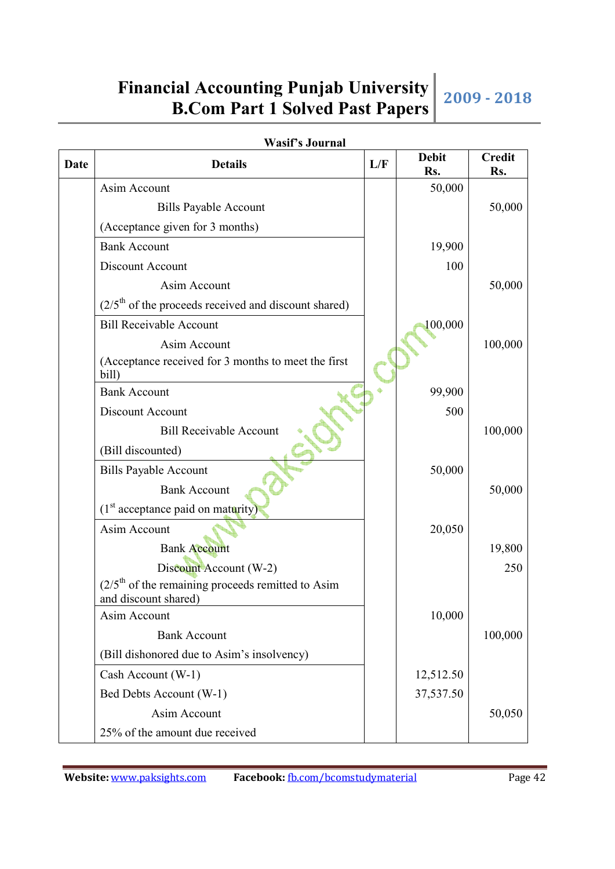|             | <b>Wasif's Journal</b>                                                      |     |                     |                      |
|-------------|-----------------------------------------------------------------------------|-----|---------------------|----------------------|
| <b>Date</b> | <b>Details</b>                                                              | L/F | <b>Debit</b><br>Rs. | <b>Credit</b><br>Rs. |
|             | Asim Account                                                                |     | 50,000              |                      |
|             | <b>Bills Payable Account</b>                                                |     |                     | 50,000               |
|             | (Acceptance given for 3 months)                                             |     |                     |                      |
|             | <b>Bank Account</b>                                                         |     | 19,900              |                      |
|             | Discount Account                                                            |     | 100                 |                      |
|             | Asim Account                                                                |     |                     | 50,000               |
|             | $(2/5th$ of the proceeds received and discount shared)                      |     |                     |                      |
|             | <b>Bill Receivable Account</b>                                              |     | 100,000             |                      |
|             | Asim Account                                                                |     |                     | 100,000              |
|             | (Acceptance received for 3 months to meet the first<br>bill)                |     |                     |                      |
|             | <b>Bank Account</b>                                                         |     | 99,900              |                      |
|             | Discount Account                                                            |     | 500                 |                      |
|             | <b>Bill Receivable Account</b>                                              |     |                     | 100,000              |
|             | (Bill discounted)                                                           |     |                     |                      |
|             | <b>Bills Payable Account</b>                                                |     | 50,000              |                      |
|             | <b>Bank Account</b>                                                         |     |                     | 50,000               |
|             | $(1st acceptance paid on maturity)$                                         |     |                     |                      |
|             | Asim Account                                                                |     | 20,050              |                      |
|             | <b>Bank Account</b>                                                         |     |                     | 19,800               |
|             | Discount Account (W-2)                                                      |     |                     | 250                  |
|             | $(2/5th$ of the remaining proceeds remitted to Asim<br>and discount shared) |     |                     |                      |
|             | Asim Account                                                                |     | 10,000              |                      |
|             | <b>Bank Account</b>                                                         |     |                     | 100,000              |
|             | (Bill dishonored due to Asim's insolvency)                                  |     |                     |                      |
|             | Cash Account (W-1)                                                          |     | 12,512.50           |                      |
|             | Bed Debts Account (W-1)                                                     |     | 37,537.50           |                      |
|             | Asim Account                                                                |     |                     | 50,050               |
|             | 25% of the amount due received                                              |     |                     |                      |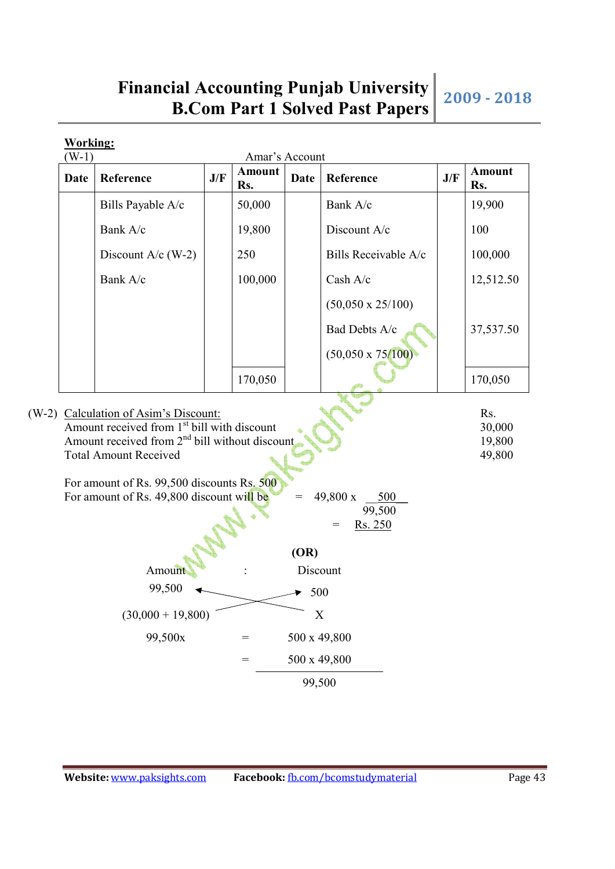| Date | Reference                                                                                                                                                                                                                              | J/F | <b>Amount</b><br>Rs. | <b>Date</b>               | Reference                                   | J/F | <b>Amount</b><br>Rs.       |
|------|----------------------------------------------------------------------------------------------------------------------------------------------------------------------------------------------------------------------------------------|-----|----------------------|---------------------------|---------------------------------------------|-----|----------------------------|
|      | Bills Payable A/c                                                                                                                                                                                                                      |     | 50,000               |                           | Bank A/c                                    |     | 19,900                     |
|      | Bank A/c                                                                                                                                                                                                                               |     | 19,800               |                           | Discount A/c                                |     | 100                        |
|      | Discount $A/c$ (W-2)                                                                                                                                                                                                                   |     | 250                  |                           | Bills Receivable A/c                        |     | 100,000                    |
|      | Bank A/c                                                                                                                                                                                                                               |     | 100,000              |                           | Cash A/c                                    |     | 12,512.50                  |
|      |                                                                                                                                                                                                                                        |     |                      |                           | $(50,050 \times 25/100)$                    |     |                            |
|      |                                                                                                                                                                                                                                        |     |                      |                           | Bad Debts A/c                               |     | 37,537.50                  |
|      |                                                                                                                                                                                                                                        |     |                      |                           | $(50,050 \times 75/100)$                    |     |                            |
|      |                                                                                                                                                                                                                                        |     | 170,050              |                           |                                             |     | 170,050                    |
|      | Calculation of Asim's Discount:                                                                                                                                                                                                        |     |                      |                           |                                             |     | Rs.                        |
|      | Amount received from 1 <sup>st</sup> bill with discount<br>Amount received from $2nd$ bill without discount<br><b>Total Amount Received</b><br>For amount of Rs. 99,500 discounts Rs. 500<br>For amount of Rs. 49,800 discount will be |     |                      |                           | 49,800 x<br>500<br>99,500<br>Rs. 250<br>$=$ |     |                            |
|      |                                                                                                                                                                                                                                        |     |                      | (OR)                      |                                             |     |                            |
|      | Amount                                                                                                                                                                                                                                 |     |                      |                           | Discount                                    |     |                            |
|      | 99,500                                                                                                                                                                                                                                 |     |                      | $\blacktriangleright$ 500 |                                             |     |                            |
|      | $(30,000 + 19,800)$                                                                                                                                                                                                                    |     |                      |                           | $\mathbf X$                                 |     |                            |
|      | 99,500x                                                                                                                                                                                                                                |     | $=$                  |                           | 500 x 49,800                                |     | 30,000<br>19,800<br>49,800 |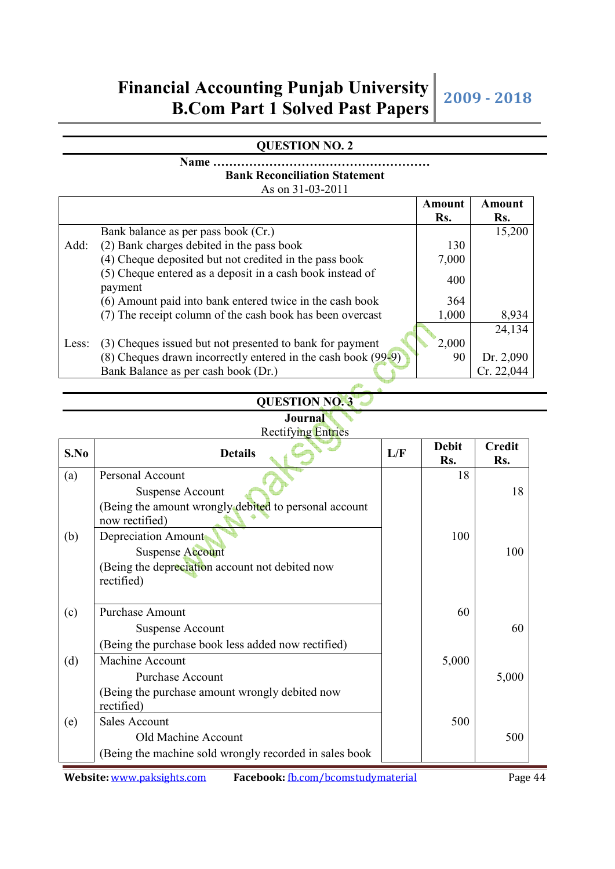## **QUESTION NO. 2**

### **Name ……………………………………………… Bank Reconciliation Statement**  As on 31-03-2011

|       |                                                                      | Amount | Amount     |
|-------|----------------------------------------------------------------------|--------|------------|
|       |                                                                      | Rs.    | Rs.        |
|       | Bank balance as per pass book (Cr.)                                  |        | 15,200     |
| Add:  | (2) Bank charges debited in the pass book                            | 130    |            |
|       | (4) Cheque deposited but not credited in the pass book               | 7,000  |            |
|       | (5) Cheque entered as a deposit in a cash book instead of<br>payment | 400    |            |
|       | (6) Amount paid into bank entered twice in the cash book             | 364    |            |
|       | (7) The receipt column of the cash book has been overcast            | 1,000  | 8,934      |
|       |                                                                      |        | 24,134     |
| Less: | (3) Cheques issued but not presented to bank for payment             | 2,000  |            |
|       | $(8)$ Cheques drawn incorrectly entered in the cash book $(99-9)$    | 90     | Dr. 2,090  |
|       | Bank Balance as per cash book (Dr.)                                  |        | Cr. 22,044 |

## **QUESTION NO. 3**

#### **Journal**  Rectifying Entries

| S.No | <b>Details</b>                                                                                     | L/F | <b>Debit</b><br>Rs. | <b>Credit</b><br>Rs. |
|------|----------------------------------------------------------------------------------------------------|-----|---------------------|----------------------|
| (a)  | Personal Account                                                                                   |     | 18                  |                      |
|      | <b>Suspense Account</b><br>(Being the amount wrongly debited to personal account<br>now rectified) |     |                     | 18                   |
| (b)  | Depreciation Amount<br><b>Suspense Account</b>                                                     |     | 100                 | 100                  |
|      | (Being the depreciation account not debited now<br>rectified)                                      |     |                     |                      |
| (c)  | <b>Purchase Amount</b>                                                                             |     | 60                  |                      |
|      | <b>Suspense Account</b>                                                                            |     |                     | 60                   |
|      | (Being the purchase book less added now rectified)                                                 |     |                     |                      |
| (d)  | Machine Account                                                                                    |     | 5,000               |                      |
|      | <b>Purchase Account</b>                                                                            |     |                     | 5,000                |
|      | (Being the purchase amount wrongly debited now<br>rectified)                                       |     |                     |                      |
| (e)  | <b>Sales Account</b>                                                                               |     | 500                 |                      |
|      | Old Machine Account                                                                                |     |                     | 500                  |
|      | (Being the machine sold wrongly recorded in sales book                                             |     |                     |                      |

**Website:** www.paksights.com **Facebook:** fb.com/bcomstudymaterial Page 44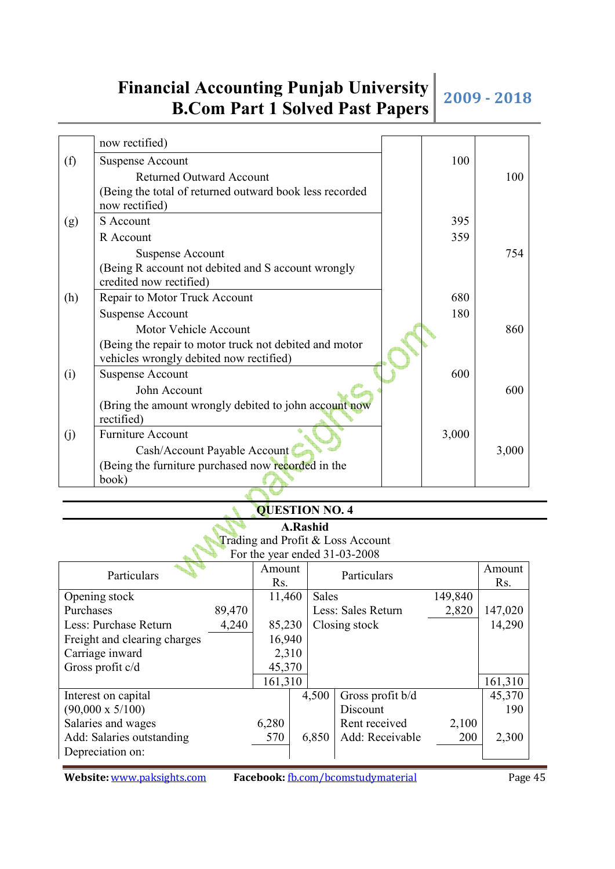|     | now rectified)                                          |       |       |
|-----|---------------------------------------------------------|-------|-------|
| (f) | <b>Suspense Account</b>                                 | 100   |       |
|     | <b>Returned Outward Account</b>                         |       | 100   |
|     | (Being the total of returned outward book less recorded |       |       |
|     | now rectified)                                          |       |       |
| (g) | S Account                                               | 395   |       |
|     | R Account                                               | 359   |       |
|     | <b>Suspense Account</b>                                 |       | 754   |
|     | (Being R account not debited and S account wrongly      |       |       |
|     | credited now rectified)                                 |       |       |
| (h) | Repair to Motor Truck Account                           | 680   |       |
|     | <b>Suspense Account</b>                                 | 180   |       |
|     | Motor Vehicle Account                                   |       | 860   |
|     | (Being the repair to motor truck not debited and motor  |       |       |
|     | vehicles wrongly debited now rectified)                 |       |       |
| (i) | <b>Suspense Account</b>                                 | 600   |       |
|     | John Account                                            |       | 600   |
|     | (Bring the amount wrongly debited to john account now   |       |       |
|     | rectified)                                              |       |       |
| (j) | <b>Furniture Account</b>                                | 3,000 |       |
|     | Cash/Account Payable Account                            |       | 3,000 |
|     | (Being the furniture purchased now recorded in the      |       |       |
|     | book)                                                   |       |       |

### **QUESTION NO. 4**

**A.Rashid**  Trading and Profit & Loss Account For the year ended 31-03-2008

|                              |        |         |       | FOI THE YEAR ENGER 31-03-2006 |         |         |
|------------------------------|--------|---------|-------|-------------------------------|---------|---------|
| Particulars                  |        | Amount  |       | Particulars                   |         | Amount  |
|                              |        | Rs.     |       |                               |         | Rs.     |
| Opening stock                |        | 11,460  | Sales |                               | 149,840 |         |
| Purchases                    | 89,470 |         |       | Less: Sales Return            | 2,820   | 147,020 |
| Less: Purchase Return        | 4,240  | 85,230  |       | Closing stock                 |         | 14,290  |
| Freight and clearing charges |        | 16,940  |       |                               |         |         |
| Carriage inward              |        | 2,310   |       |                               |         |         |
| Gross profit c/d             |        | 45,370  |       |                               |         |         |
|                              |        | 161,310 |       |                               |         | 161,310 |
| Interest on capital          |        |         | 4,500 | Gross profit b/d              |         | 45,370  |
| $(90,000 \times 5/100)$      |        |         |       | Discount                      |         | 190     |
| Salaries and wages           |        | 6,280   |       | Rent received                 | 2,100   |         |
| Add: Salaries outstanding    |        | 570     | 6,850 | Add: Receivable               | 200     | 2,300   |
| Depreciation on:             |        |         |       |                               |         |         |
|                              |        |         |       |                               |         |         |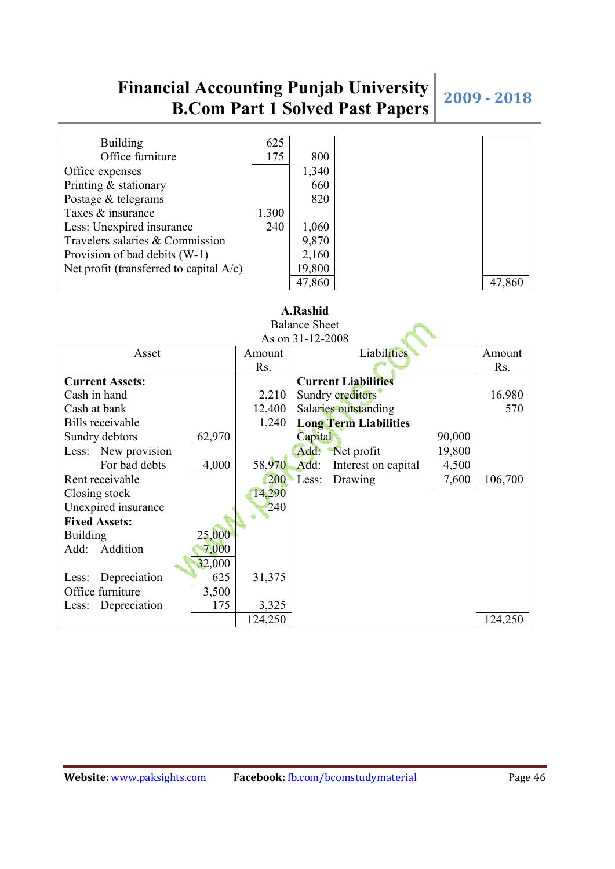| <b>Building</b>                            | 625   |        |
|--------------------------------------------|-------|--------|
| Office furniture                           | 175   | 800    |
| Office expenses                            |       | 1,340  |
| Printing & stationary                      |       | 660    |
| Postage & telegrams                        |       | 820    |
| Taxes & insurance                          | 1,300 |        |
| Less: Unexpired insurance                  | 240   | 1,060  |
| Travelers salaries & Commission            |       | 9,870  |
| Provision of bad debits (W-1)              |       | 2,160  |
| Net profit (transferred to capital $A/c$ ) |       | 19,800 |
|                                            |       | 47,860 |

| <b>Balance Sheet</b>         |         |                              |        |         |  |  |  |
|------------------------------|---------|------------------------------|--------|---------|--|--|--|
|                              |         | As on 31-12-2008             |        |         |  |  |  |
| Asset                        | Amount  | Liabilities                  |        | Amount  |  |  |  |
|                              | Rs.     |                              |        | Rs.     |  |  |  |
| <b>Current Assets:</b>       |         | <b>Current Liabilities</b>   |        |         |  |  |  |
| Cash in hand                 | 2,210   | Sundry creditors             |        | 16,980  |  |  |  |
| Cash at bank                 | 12,400  | Salaries outstanding         |        | 570     |  |  |  |
| Bills receivable             | 1,240   | <b>Long Term Liabilities</b> |        |         |  |  |  |
| 62,970<br>Sundry debtors     |         | Capital                      | 90,000 |         |  |  |  |
| Less: New provision          |         | Add:<br>Net profit           | 19,800 |         |  |  |  |
| For bad debts<br>4,000       | 58,970  | Add:<br>Interest on capital  | 4,500  |         |  |  |  |
| Rent receivable              | 200     | Less:<br>Drawing             | 7,600  | 106,700 |  |  |  |
| Closing stock                | 14,290  |                              |        |         |  |  |  |
| Unexpired insurance          | 240     |                              |        |         |  |  |  |
| <b>Fixed Assets:</b>         |         |                              |        |         |  |  |  |
| 25,000<br><b>Building</b>    |         |                              |        |         |  |  |  |
| Add:<br>Addition<br>7,000    |         |                              |        |         |  |  |  |
| 32,000                       |         |                              |        |         |  |  |  |
| 625<br>Depreciation<br>Less: | 31,375  |                              |        |         |  |  |  |
| Office furniture<br>3,500    |         |                              |        |         |  |  |  |
| 175<br>Depreciation<br>Less: | 3,325   |                              |        |         |  |  |  |
|                              | 124,250 |                              |        | 124,250 |  |  |  |

## **A.Rashid**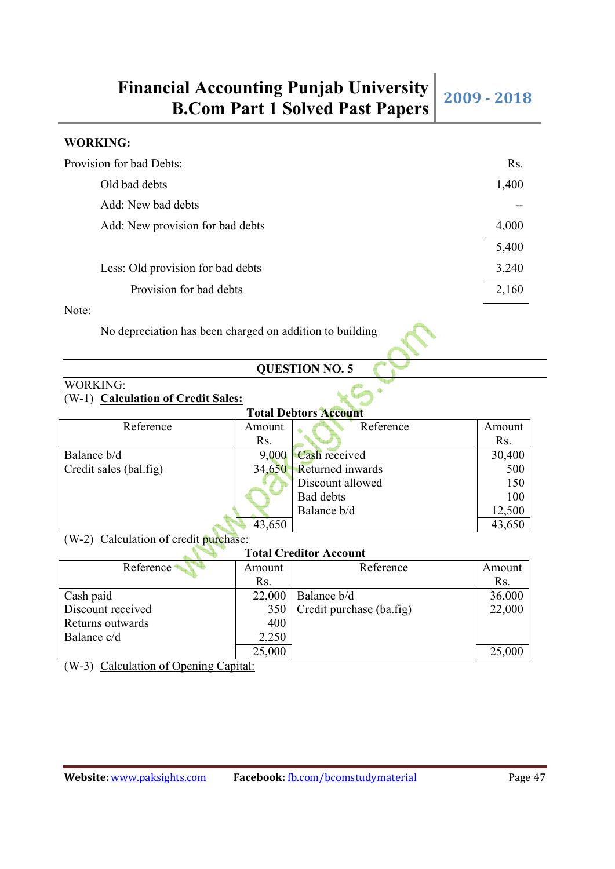| Provision for bad Debts:          | Rs.   |
|-----------------------------------|-------|
| Old bad debts                     | 1,400 |
| Add: New bad debts                |       |
| Add: New provision for bad debts  | 4,000 |
|                                   | 5,400 |
| Less: Old provision for bad debts | 3,240 |
| Provision for bad debts           | 2,160 |
|                                   |       |

### Note:

No depreciation has been charged on addition to building

## **QUESTION NO. 5**

### WORKING: (W-1) **Calculation of Credit Sales:**

| <b>Total Debtors Account</b> |        |                                |        |  |  |  |
|------------------------------|--------|--------------------------------|--------|--|--|--|
| Reference                    | Amount | Reference                      | Amount |  |  |  |
|                              | Rs.    |                                | Rs.    |  |  |  |
| Balance b/d                  |        | $9,000$ $\text{Cash received}$ | 30,400 |  |  |  |
| Credit sales (bal.fig)       |        | 34,650 Returned inwards        | 500    |  |  |  |
|                              |        | Discount allowed               | 150    |  |  |  |
|                              |        | Bad debts                      | 100    |  |  |  |
|                              |        | Balance b/d                    | 12,500 |  |  |  |
|                              | 43,650 |                                | 43,650 |  |  |  |

(W-2) Calculation of credit purchase:

## **Total Creditor Account**

| Reference         | Amount | Reference                    | Amount |
|-------------------|--------|------------------------------|--------|
|                   | Rs.    |                              | Rs.    |
| Cash paid         | 22,000 | Balance b/d                  | 36,000 |
| Discount received |        | 350 Credit purchase (ba.fig) | 22,000 |
| Returns outwards  | 400    |                              |        |
| Balance c/d       | 2,250  |                              |        |
|                   | 25,000 |                              | 25,000 |

(W-3) Calculation of Opening Capital: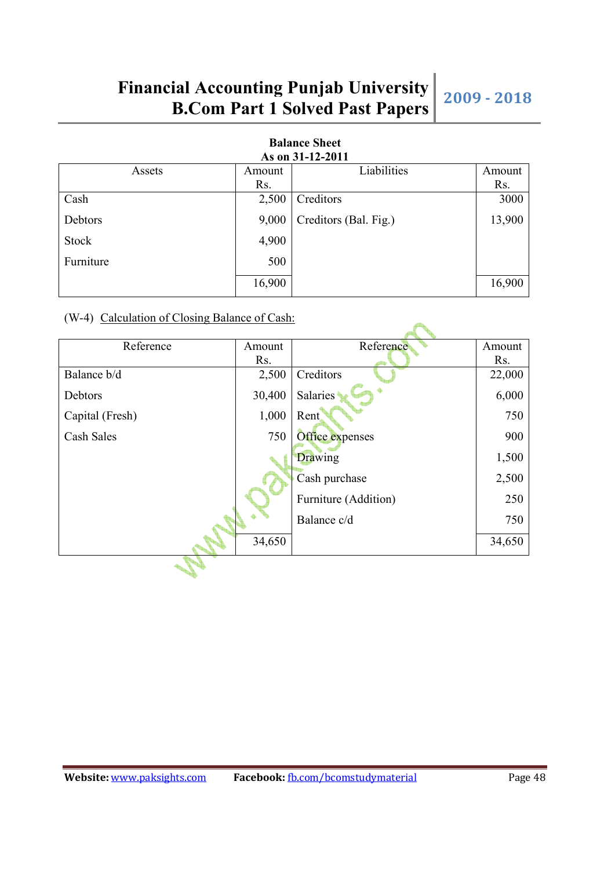**Alla** 

| As on 31-12-2011 |        |                       |        |  |  |  |
|------------------|--------|-----------------------|--------|--|--|--|
| Assets           | Amount | Liabilities           | Amount |  |  |  |
|                  | Rs.    |                       | Rs.    |  |  |  |
| Cash             | 2,500  | Creditors             | 3000   |  |  |  |
| Debtors          | 9,000  | Creditors (Bal. Fig.) | 13,900 |  |  |  |
| Stock            | 4,900  |                       |        |  |  |  |
| Furniture        | 500    |                       |        |  |  |  |
|                  | 16,900 |                       | 16,900 |  |  |  |

## **Balance Sheet**

## (W-4) Calculation of Closing Balance of Cash:

**Property** 

| Reference       | Amount | Reference            | Amount |
|-----------------|--------|----------------------|--------|
|                 | Rs.    |                      | Rs.    |
| Balance b/d     | 2,500  | Creditors            | 22,000 |
| Debtors         | 30,400 | <b>Salaries</b>      | 6,000  |
| Capital (Fresh) | 1,000  | Rent                 | 750    |
| Cash Sales      | 750    | Office expenses      | 900    |
|                 |        | Drawing              | 1,500  |
|                 |        | Cash purchase        | 2,500  |
|                 |        | Furniture (Addition) | 250    |
|                 |        | Balance c/d          | 750    |
|                 | 34,650 |                      | 34,650 |
|                 |        |                      |        |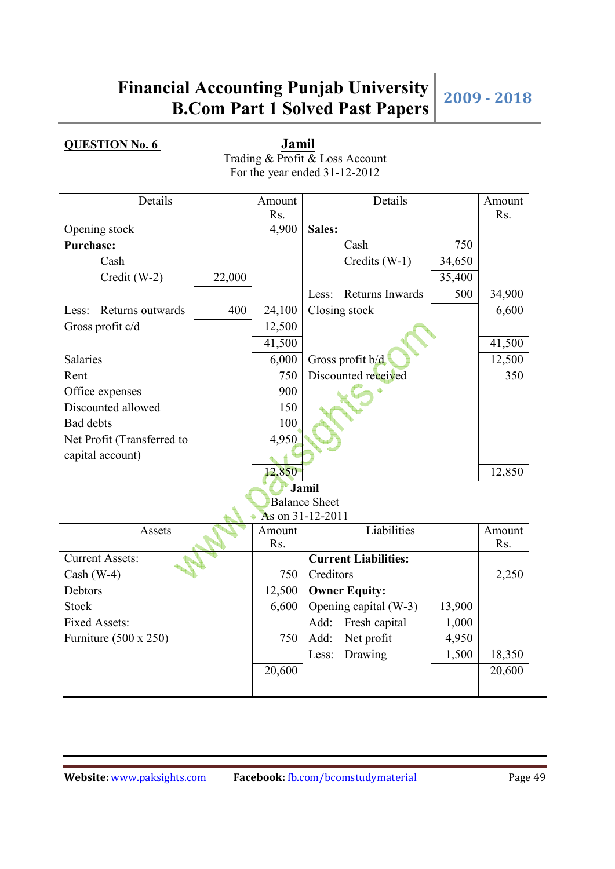**QUESTION No. 6 Jamil** Trading & Profit & Loss Account For the year ended 31-12-2012

| Details                    |        | Amount | Details                  |        | Amount |
|----------------------------|--------|--------|--------------------------|--------|--------|
|                            |        | Rs.    |                          |        | Rs.    |
| Opening stock              |        | 4,900  | Sales:                   |        |        |
| <b>Purchase:</b>           |        |        | Cash                     | 750    |        |
| Cash                       |        |        | Credits $(W-1)$          | 34,650 |        |
| $Credit$ (W-2)             | 22,000 |        |                          | 35,400 |        |
|                            |        |        | Returns Inwards<br>Less: | 500    | 34,900 |
| Returns outwards<br>Less:  | 400    | 24,100 | Closing stock            |        | 6,600  |
| Gross profit c/d           |        | 12,500 |                          |        |        |
|                            |        | 41,500 |                          |        | 41,500 |
| Salaries                   |        | 6,000  | Gross profit $b/d$       |        | 12,500 |
| Rent                       |        | 750    | Discounted received      |        | 350    |
| Office expenses            |        | 900    |                          |        |        |
| Discounted allowed         |        | 150    |                          |        |        |
| Bad debts                  |        | 100    |                          |        |        |
| Net Profit (Transferred to |        | 4,950  |                          |        |        |
| capital account)           |        |        |                          |        |        |
|                            |        | 12,850 |                          |        | 12,850 |
|                            |        |        | Jamil                    |        |        |
|                            |        |        | <b>Balance Sheet</b>     |        |        |
|                            |        |        | As on 31-12-2011<br>.    |        |        |

| Assets                       | Amount | Liabilities                               | Amount |
|------------------------------|--------|-------------------------------------------|--------|
|                              | Rs.    |                                           | Rs.    |
| <b>Current Assets:</b>       |        | <b>Current Liabilities:</b>               |        |
| Cash $(W-4)$                 | 750    | Creditors                                 | 2,250  |
| Debtors                      | 12,500 | <b>Owner Equity:</b>                      |        |
| <b>Stock</b>                 |        | $6,600$   Opening capital (W-3)<br>13,900 |        |
| <b>Fixed Assets:</b>         |        | Add: Fresh capital<br>1,000               |        |
| Furniture $(500 \times 250)$ | 750    | 4,950<br>Net profit<br>Add:               |        |
|                              |        | 1,500<br>Less: Drawing                    | 18,350 |
|                              | 20,600 |                                           | 20,600 |
|                              |        |                                           |        |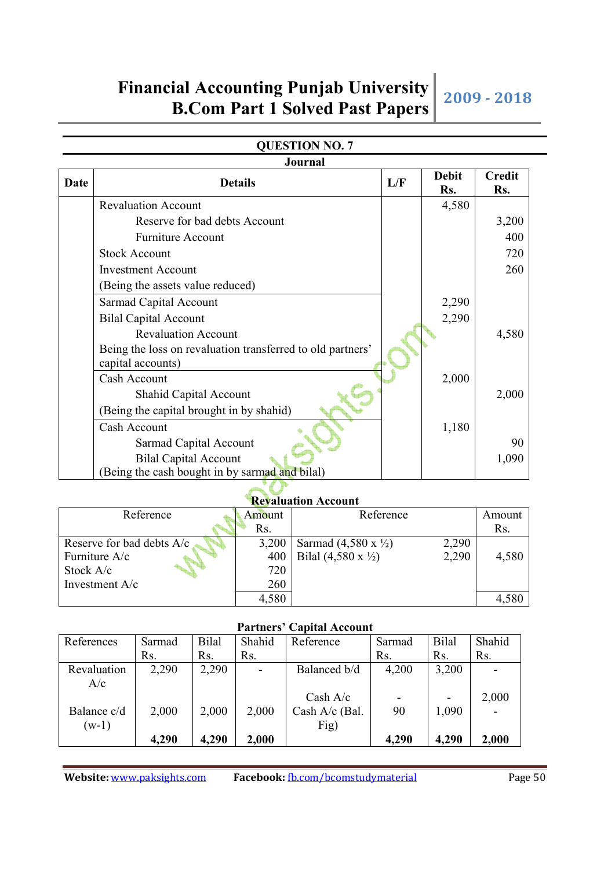## **QUESTION NO. 7**

|      | <b>Journal</b>                                                                  |     |                     |                      |
|------|---------------------------------------------------------------------------------|-----|---------------------|----------------------|
| Date | <b>Details</b>                                                                  | L/F | <b>Debit</b><br>Rs. | <b>Credit</b><br>Rs. |
|      | <b>Revaluation Account</b>                                                      |     | 4,580               |                      |
|      | Reserve for bad debts Account                                                   |     |                     | 3,200                |
|      | Furniture Account                                                               |     |                     | 400                  |
|      | <b>Stock Account</b>                                                            |     |                     | 720                  |
|      | <b>Investment Account</b>                                                       |     |                     | 260                  |
|      | (Being the assets value reduced)                                                |     |                     |                      |
|      | Sarmad Capital Account                                                          |     | 2,290               |                      |
|      | <b>Bilal Capital Account</b>                                                    |     | 2,290               |                      |
|      | <b>Revaluation Account</b>                                                      |     |                     | 4,580                |
|      | Being the loss on revaluation transferred to old partners'<br>capital accounts) |     |                     |                      |
|      | Cash Account                                                                    |     | 2,000               |                      |
|      | <b>Shahid Capital Account</b>                                                   |     |                     | 2,000                |
|      | (Being the capital brought in by shahid)                                        |     |                     |                      |
|      | Cash Account                                                                    |     | 1,180               |                      |
|      | Sarmad Capital Account                                                          |     |                     | 90                   |
|      | <b>Bilal Capital Account</b>                                                    |     |                     | 1,090                |
|      | (Being the cash bought in by sarmad and bilal)                                  |     |                     |                      |

### **Revaluation Account**

| Reference                 | Amount | Reference                              |       | Amount |
|---------------------------|--------|----------------------------------------|-------|--------|
|                           | Rs.    |                                        |       | Rs.    |
| Reserve for bad debts A/c | 3,200  | Sarmad $(4,580 \times \frac{1}{2})$    | 2,290 |        |
| Furniture A/c             | 400    | Bilal $(4,580 \text{ x } \frac{1}{2})$ | 2,290 | 4,580  |
| Stock A/c                 | 720    |                                        |       |        |
| Investment A/c            | 260    |                                        |       |        |
|                           | 4,580  |                                        |       |        |

 $\mathcal{L}$ 

### **Partners' Capital Account**

| References  | Sarmad | Bilal | Shahid                   | Reference      | Sarmad | Bilal | Shahid |
|-------------|--------|-------|--------------------------|----------------|--------|-------|--------|
|             | Rs.    | Rs.   | Rs.                      |                | Rs.    | Rs.   | Rs.    |
| Revaluation | 2,290  | 2,290 | $\overline{\phantom{a}}$ | Balanced b/d   | 4,200  | 3,200 |        |
| A/c         |        |       |                          |                |        |       |        |
|             |        |       |                          | Cash $A/c$     |        |       | 2,000  |
| Balance c/d | 2,000  | 2,000 | 2,000                    | Cash A/c (Bal. | 90     | 1,090 |        |
| $(w-1)$     |        |       |                          | Fig)           |        |       |        |
|             | 4,290  | 4,290 | 2,000                    |                | 4,290  | 4,290 | 2,000  |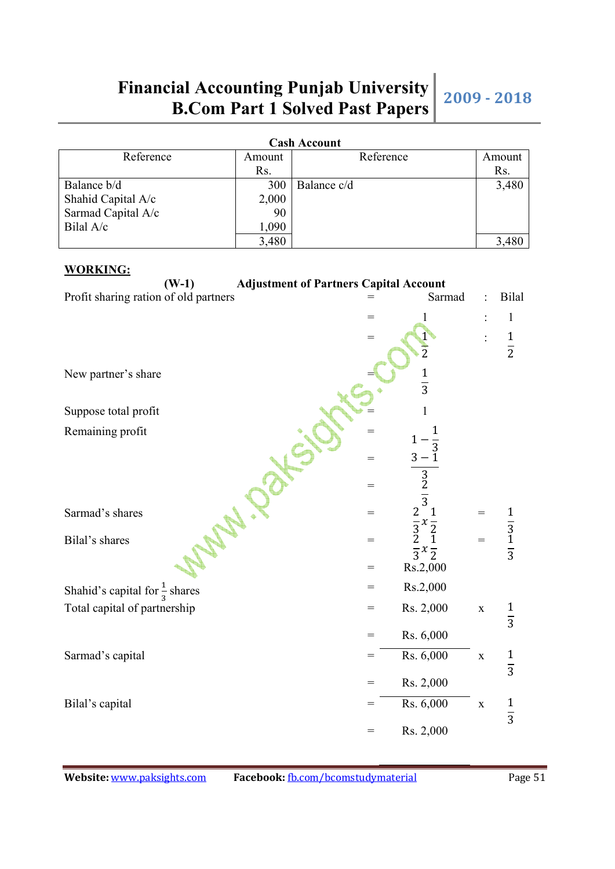| <b>Cash Account</b> |        |             |        |  |  |
|---------------------|--------|-------------|--------|--|--|
| Reference           | Amount | Reference   | Amount |  |  |
|                     | Rs.    |             | Rs.    |  |  |
| Balance b/d         | 300    | Balance c/d | 3,480  |  |  |
| Shahid Capital A/c  | 2,000  |             |        |  |  |
| Sarmad Capital A/c  | 90     |             |        |  |  |
| Bilal A/c           | 1,090  |             |        |  |  |
|                     | 3,480  |             |        |  |  |

### **WORKING:**

| $(W-1)$<br><b>Adjustment of Partners Capital Account</b> |     |                                                                      |             |                             |
|----------------------------------------------------------|-----|----------------------------------------------------------------------|-------------|-----------------------------|
| Profit sharing ration of old partners                    |     | Sarmad                                                               |             | <b>Bilal</b>                |
|                                                          | $=$ | 1                                                                    |             | $\mathbf{1}$                |
|                                                          | =   |                                                                      |             |                             |
|                                                          |     | $\overline{2}$                                                       |             | $\frac{1}{2}$               |
| New partner's share                                      |     |                                                                      |             |                             |
|                                                          |     | $\frac{1}{3}$                                                        |             |                             |
| Suppose total profit                                     |     | 1                                                                    |             |                             |
|                                                          |     |                                                                      |             |                             |
| Remaining profit                                         | $=$ | 1                                                                    |             |                             |
|                                                          | $=$ | $\frac{1-\frac{1}{3}}{3-1}$                                          |             |                             |
|                                                          |     |                                                                      |             |                             |
|                                                          | $=$ | $\frac{3}{2}$                                                        |             |                             |
| Sarmad's shares                                          | $=$ |                                                                      | $=$         |                             |
|                                                          |     |                                                                      |             |                             |
| Bilal's shares                                           | $=$ | $\frac{2}{3} \times \frac{1}{2}$<br>$\frac{3}{2} \times \frac{1}{2}$ | $=$         | $\frac{1}{3}$ $\frac{1}{3}$ |
|                                                          | $=$ | Rs.2,000                                                             |             |                             |
| Shahid's capital for $\frac{1}{3}$ shares                | =   | Rs.2,000                                                             |             |                             |
| Total capital of partnership                             | $=$ | Rs. 2,000                                                            | $\mathbf X$ | $\frac{1}{3}$               |
|                                                          |     |                                                                      |             |                             |
|                                                          | $=$ | Rs. 6,000                                                            |             |                             |
| Sarmad's capital                                         | $=$ | Rs. 6,000                                                            | $\mathbf X$ | $\frac{1}{3}$               |
|                                                          | $=$ | Rs. 2,000                                                            |             |                             |
|                                                          |     |                                                                      |             |                             |
| Bilal's capital                                          | =   | Rs. 6,000                                                            | $\mathbf X$ | $\frac{1}{3}$               |
|                                                          | $=$ | Rs. 2,000                                                            |             |                             |
|                                                          |     |                                                                      |             |                             |